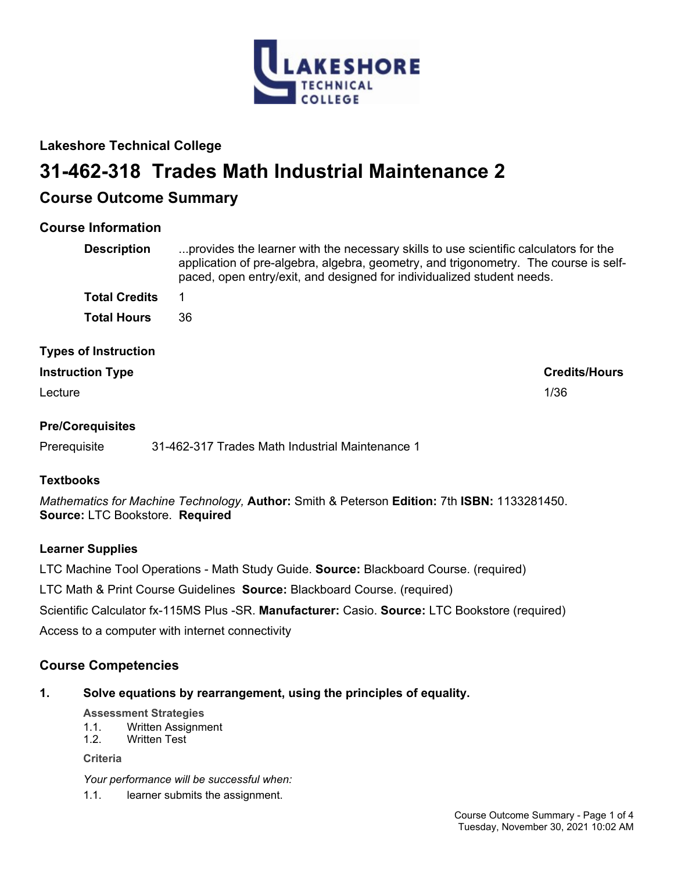

## **Lakeshore Technical College**

# **31-462-318 Trades Math Industrial Maintenance 2**

## **Course Outcome Summary**

## **Course Information**

| <b>Description</b>                                     | provides the learner with the necessary skills to use scientific calculators for the<br>application of pre-algebra, algebra, geometry, and trigonometry. The course is self-<br>paced, open entry/exit, and designed for individualized student needs. |
|--------------------------------------------------------|--------------------------------------------------------------------------------------------------------------------------------------------------------------------------------------------------------------------------------------------------------|
| <b>Total Credits</b>                                   | 1                                                                                                                                                                                                                                                      |
| <b>Total Hours</b>                                     | 36                                                                                                                                                                                                                                                     |
| <b>Types of Instruction</b><br><b>Instruction Type</b> | <b>Credits/Hours</b>                                                                                                                                                                                                                                   |

Lecture 2012 2013 2014 2022 2023 2024 2022 2023 2024 2022 2023 2024 2022 2023 2024 2022 2023 2024 2023 2024 20

## **Pre/Corequisites**

Prerequisite 31-462-317 Trades Math Industrial Maintenance 1

## **Textbooks**

*Mathematics for Machine Technology,* **Author:** Smith & Peterson **Edition:** 7th **ISBN:** 1133281450. **Source:** LTC Bookstore. **Required**

## **Learner Supplies**

LTC Machine Tool Operations - Math Study Guide. **Source:** Blackboard Course. (required)

LTC Math & Print Course Guidelines **Source:** Blackboard Course. (required)

Scientific Calculator fx-115MS Plus -SR. **Manufacturer:** Casio. **Source:** LTC Bookstore (required)

Access to a computer with internet connectivity

## **Course Competencies**

## **1. Solve equations by rearrangement, using the principles of equality.**

#### **Assessment Strategies**

- 1.1. Written Assignment
- 1.2. Written Test

**Criteria**

*Your performance will be successful when:*

1.1. learner submits the assignment.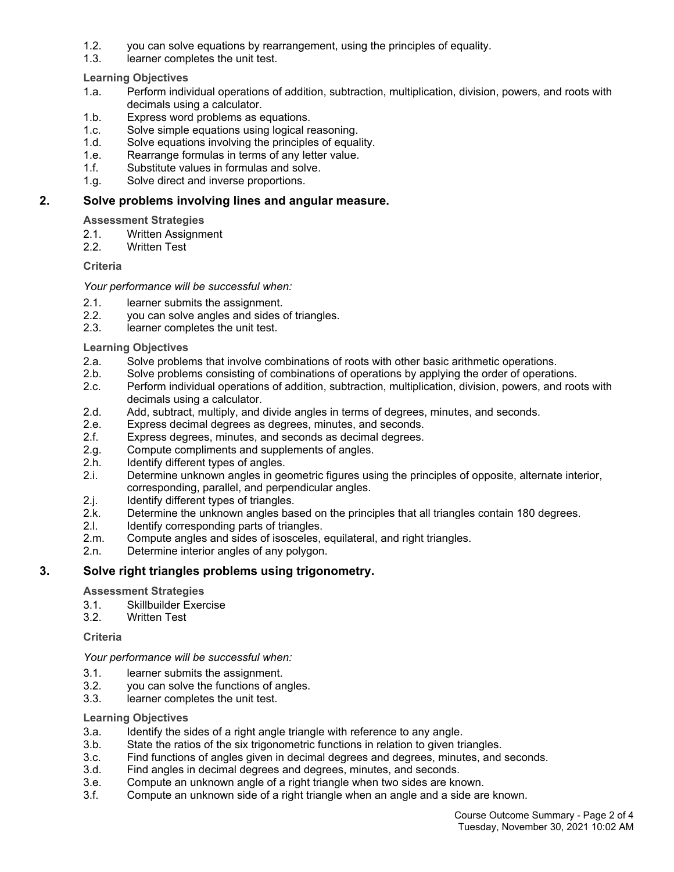- 1.2. you can solve equations by rearrangement, using the principles of equality.
- 1.3. learner completes the unit test.

**Learning Objectives**

- 1.a. Perform individual operations of addition, subtraction, multiplication, division, powers, and roots with decimals using a calculator.
- 1.b. Express word problems as equations.
- 1.c. Solve simple equations using logical reasoning.
- 1.d. Solve equations involving the principles of equality.
- 1.e. Rearrange formulas in terms of any letter value.
- 1.f. Substitute values in formulas and solve.
- 1.g. Solve direct and inverse proportions.

#### **2. Solve problems involving lines and angular measure.**

**Assessment Strategies**

- 2.1. Written Assignment
- 2.2. Written Test

#### **Criteria**

#### *Your performance will be successful when:*

- 2.1. learner submits the assignment.
- 2.2. you can solve angles and sides of triangles.
- 2.3. learner completes the unit test.

#### **Learning Objectives**

- 2.a. Solve problems that involve combinations of roots with other basic arithmetic operations.
- 2.b. Solve problems consisting of combinations of operations by applying the order of operations.
- 2.c. Perform individual operations of addition, subtraction, multiplication, division, powers, and roots with decimals using a calculator.
- 2.d. Add, subtract, multiply, and divide angles in terms of degrees, minutes, and seconds.
- 2.e. Express decimal degrees as degrees, minutes, and seconds.
- 2.f. Express degrees, minutes, and seconds as decimal degrees.
- 2.g. Compute compliments and supplements of angles.
- 2.h. Identify different types of angles.
- 2.i. Determine unknown angles in geometric figures using the principles of opposite, alternate interior, corresponding, parallel, and perpendicular angles.
- 2.j. Identify different types of triangles.
- 2.k. Determine the unknown angles based on the principles that all triangles contain 180 degrees.
- 2.I. Identify corresponding parts of triangles.
- 2.m. Compute angles and sides of isosceles, equilateral, and right triangles.
- 2.n. Determine interior angles of any polygon.

## **3. Solve right triangles problems using trigonometry.**

#### **Assessment Strategies**

- 3.1. Skillbuilder Exercise
- 3.2. Written Test

#### **Criteria**

#### *Your performance will be successful when:*

- 3.1. learner submits the assignment.
- 3.2. you can solve the functions of angles.
- 3.3. learner completes the unit test.

#### **Learning Objectives**

- 3.a. Identify the sides of a right angle triangle with reference to any angle.
- 3.b. State the ratios of the six trigonometric functions in relation to given triangles.
- 3.c. Find functions of angles given in decimal degrees and degrees, minutes, and seconds.
- 3.d. Find angles in decimal degrees and degrees, minutes, and seconds.
- 3.e. Compute an unknown angle of a right triangle when two sides are known.
- 3.f. Compute an unknown side of a right triangle when an angle and a side are known.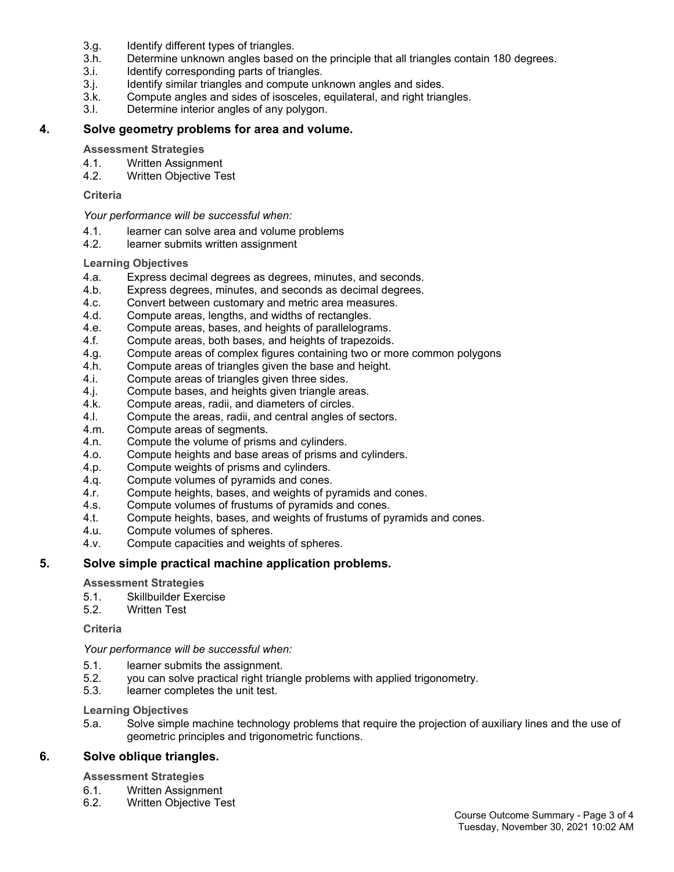- 3.g. Identify different types of triangles.
- 3.h. Determine unknown angles based on the principle that all triangles contain 180 degrees.
- 3.i. Identify corresponding parts of triangles.
- 3.j. Identify similar triangles and compute unknown angles and sides.
- 3.k. Compute angles and sides of isosceles, equilateral, and right triangles.
- 3.l. Determine interior angles of any polygon.

#### **4. Solve geometry problems for area and volume.**

#### **Assessment Strategies**

- 4.1. Written Assignment
- 4.2. Written Objective Test

#### **Criteria**

*Your performance will be successful when:*

- 4.1. learner can solve area and volume problems
- 4.2. learner submits written assignment

#### **Learning Objectives**

- 4.a. Express decimal degrees as degrees, minutes, and seconds.
- 4.b. Express degrees, minutes, and seconds as decimal degrees.
- 4.c. Convert between customary and metric area measures.
- 4.d. Compute areas, lengths, and widths of rectangles.
- 4.e. Compute areas, bases, and heights of parallelograms.
- 4.f. Compute areas, both bases, and heights of trapezoids.
- 4.g. Compute areas of complex figures containing two or more common polygons
- 4.h. Compute areas of triangles given the base and height.
- 4.i. Compute areas of triangles given three sides.
- 4.j. Compute bases, and heights given triangle areas.
- 4.k. Compute areas, radii, and diameters of circles.
- 4.l. Compute the areas, radii, and central angles of sectors.
- 4.m. Compute areas of segments.
- 4.n. Compute the volume of prisms and cylinders.
- 4.o. Compute heights and base areas of prisms and cylinders.
- 4.p. Compute weights of prisms and cylinders.
- 4.q. Compute volumes of pyramids and cones.
- 4.r. Compute heights, bases, and weights of pyramids and cones.
- 4.s. Compute volumes of frustums of pyramids and cones.
- 4.t. Compute heights, bases, and weights of frustums of pyramids and cones.<br>4.u. Compute volumes of spheres.
- Compute volumes of spheres.
- 4.v. Compute capacities and weights of spheres.

#### **5. Solve simple practical machine application problems.**

#### **Assessment Strategies**

- 5.1. Skillbuilder Exercise
- 5.2. Written Test

#### **Criteria**

#### *Your performance will be successful when:*

- 5.1. learner submits the assignment.
- 5.2. you can solve practical right triangle problems with applied trigonometry.
- 5.3. learner completes the unit test.

#### **Learning Objectives**

5.a. Solve simple machine technology problems that require the projection of auxiliary lines and the use of geometric principles and trigonometric functions.

#### **6. Solve oblique triangles.**

#### **Assessment Strategies**

- 6.1. Written Assignment
- 6.2. Written Objective Test